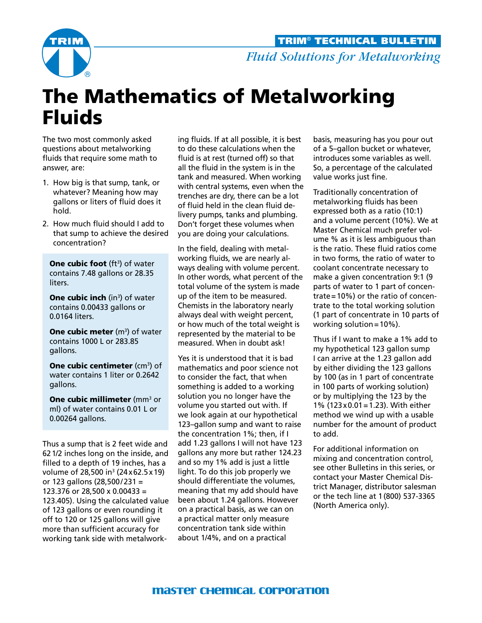

*Fluid Solutions for Metalworking* TRIM® TECHNICAL BULLETIN

# The Mathematics of Metalworking Fluids

The two most commonly asked questions about metalworking fluids that require some math to answer, are:

- 1. How big is that sump, tank, or whatever? Meaning how may gallons or liters of fluid does it hold.
- 2. How much fluid should I add to that sump to achieve the desired concentration?

**One cubic foot** (ft<sup>3</sup>) of water contains 7.48 gallons or 28.35 liters.

**One cubic inch** (in<sup>3</sup>) of water contains 0.00433 gallons or 0.0164 liters.

**One cubic meter** (m<sup>3</sup>) of water contains 1000 L or 283.85 gallons.

**One cubic centimeter** (cm $^3$ ) of water contains 1 liter or 0.2642 gallons.

**One cubic millimeter** (mm $^3$  or ml) of water contains 0.01 L or 0.00264 gallons.

Thus a sump that is 2 feet wide and 621/2 inches long on the inside, and filled to a depth of 19 inches, has a volume of 28,500 in3 (24x62.5x19) or 123 gallons (28,500/231 = 123.376 or 28,500 x 0.00433 = 123.405). Using the calculated value of 123 gallons or even rounding it off to 120 or 125 gallons will give more than sufficient accuracy for working tank side with metalwork-

ing fluids. If at all possible, it is best to do these calculations when the fluid is at rest (turned off) so that all the fluid in the system is in the tank and measured. When working with central systems, even when the trenches are dry, there can be a lot of fluid held in the clean fluid delivery pumps, tanks and plumbing. Don't forget these volumes when you are doing your calculations.

In the field, dealing with metalworking fluids, we are nearly always dealing with volume percent. In other words, what percent of the total volume of the system is made up of the item to be measured. Chemists in the laboratory nearly always deal with weight percent, or how much of the total weight is represented by the material to be measured. When in doubt ask!

Yes it is understood that it is bad mathematics and poor science not to consider the fact, that when something is added to a working solution you no longer have the volume you started out with. If we look again at our hypothetical 123–gallon sump and want to raise the concentration 1%; then, if I add 1.23 gallons I will not have 123 gallons any more but rather 124.23 and so my 1% add is just a little light. To do this job properly we should differentiate the volumes, meaning that my add should have been about 1.24 gallons. However on a practical basis, as we can on a practical matter only measure concentration tank side within about 1/4%, and on a practical

basis, measuring has you pour out of a 5–gallon bucket or whatever, introduces some variables as well. So, a percentage of the calculated value works just fine.

Traditionally concentration of metalworking fluids has been expressed both as a ratio (10:1) and a volume percent (10%). We at Master Chemical much prefer volume % as it is less ambiguous than is the ratio. These fluid ratios come in two forms, the ratio of water to coolant concentrate necessary to make a given concentration 9:1 (9 parts of water to 1 part of concentrate=10%) or the ratio of concentrate to the total working solution (1 part of concentrate in 10 parts of working solution=10%).

Thus if I want to make a 1% add to my hypothetical 123 gallon sump I can arrive at the 1.23 gallon add by either dividing the 123 gallons by 100 (as in 1 part of concentrate in 100 parts of working solution) or by multiplying the 123 by the 1% (123x0.01=1.23). With either method we wind up with a usable number for the amount of product to add.

For additional information on mixing and concentration control, see other Bulletins in this series, or contact your Master Chemical District Manager, distributor salesman or the tech line at 1(800) 537-3365 (North America only).